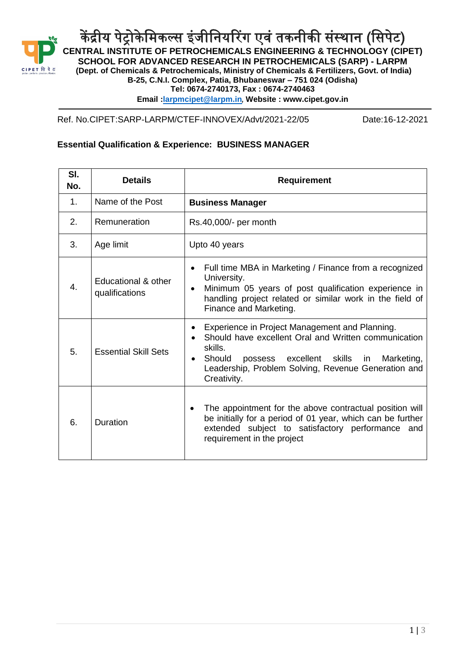

केंद्रीय पेट्रोकेमिकल्स इंजीनियरिंग एवं तकनीकी संस्थान (सिपेट) **CENTRAL INSTITUTE OF PETROCHEMICALS ENGINEERING & TECHNOLOGY (CIPET) SCHOOL FOR ADVANCED RESEARCH IN PETROCHEMICALS (SARP) - LARPM (Dept. of Chemicals & Petrochemicals, Ministry of Chemicals & Fertilizers, Govt. of India) B-25, C.N.I. Complex, Patia, Bhubaneswar – 751 024 (Odisha) Tel: 0674-2740173, Fax : 0674-2740463 Email [:larpmcipet@larpm.in](mailto:larpmcipet@larpm.in)**, **Website : www.cipet.gov.in**

Ref. No.CIPET:SARP-LARPM/CTEF-INNOVEX/Advt/2021-22/05 Date:16-12-2021

## **Essential Qualification & Experience: BUSINESS MANAGER**

| SI.<br>No. | <b>Details</b>                        | <b>Requirement</b>                                                                                                                                                                                                                                              |
|------------|---------------------------------------|-----------------------------------------------------------------------------------------------------------------------------------------------------------------------------------------------------------------------------------------------------------------|
| 1.         | Name of the Post                      | <b>Business Manager</b>                                                                                                                                                                                                                                         |
| 2.         | Remuneration                          | Rs.40,000/- per month                                                                                                                                                                                                                                           |
| 3.         | Age limit                             | Upto 40 years                                                                                                                                                                                                                                                   |
| 4.         | Educational & other<br>qualifications | Full time MBA in Marketing / Finance from a recognized<br>University.<br>Minimum 05 years of post qualification experience in<br>$\bullet$<br>handling project related or similar work in the field of<br>Finance and Marketing.                                |
| 5.         | <b>Essential Skill Sets</b>           | Experience in Project Management and Planning.<br>Should have excellent Oral and Written communication<br>skills.<br>possess excellent skills<br>Marketing,<br>Should<br>in.<br>$\bullet$<br>Leadership, Problem Solving, Revenue Generation and<br>Creativity. |
| 6.         | <b>Duration</b>                       | The appointment for the above contractual position will<br>be initially for a period of 01 year, which can be further<br>extended subject to satisfactory performance and<br>requirement in the project                                                         |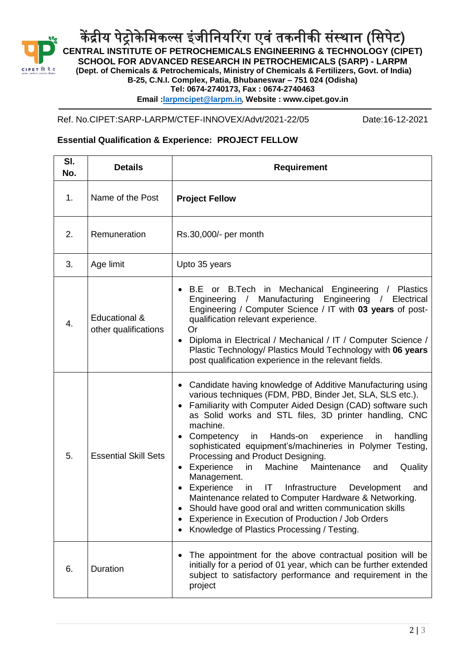

केंद्रीय पेट्रोकेमिकल्स इंजीनियरिंग एवं तकनीकी संस्थान (सिपेट) **CENTRAL INSTITUTE OF PETROCHEMICALS ENGINEERING & TECHNOLOGY (CIPET) SCHOOL FOR ADVANCED RESEARCH IN PETROCHEMICALS (SARP) - LARPM (Dept. of Chemicals & Petrochemicals, Ministry of Chemicals & Fertilizers, Govt. of India) B-25, C.N.I. Complex, Patia, Bhubaneswar – 751 024 (Odisha) Tel: 0674-2740173, Fax : 0674-2740463 Email [:larpmcipet@larpm.in](mailto:larpmcipet@larpm.in)**, **Website : www.cipet.gov.in**

Ref. No.CIPET:SARP-LARPM/CTEF-INNOVEX/Advt/2021-22/05 Date:16-12-2021

## **Essential Qualification & Experience: PROJECT FELLOW**

| SI.<br>No. | <b>Details</b>                        | <b>Requirement</b>                                                                                                                                                                                                                                                                                                                                                                                                                                                                                                                                                                                                                                                                                                                                                                                             |
|------------|---------------------------------------|----------------------------------------------------------------------------------------------------------------------------------------------------------------------------------------------------------------------------------------------------------------------------------------------------------------------------------------------------------------------------------------------------------------------------------------------------------------------------------------------------------------------------------------------------------------------------------------------------------------------------------------------------------------------------------------------------------------------------------------------------------------------------------------------------------------|
| 1.         | Name of the Post                      | <b>Project Fellow</b>                                                                                                                                                                                                                                                                                                                                                                                                                                                                                                                                                                                                                                                                                                                                                                                          |
| 2.         | Remuneration                          | Rs.30,000/- per month                                                                                                                                                                                                                                                                                                                                                                                                                                                                                                                                                                                                                                                                                                                                                                                          |
| 3.         | Age limit                             | Upto 35 years                                                                                                                                                                                                                                                                                                                                                                                                                                                                                                                                                                                                                                                                                                                                                                                                  |
| 4.         | Educational &<br>other qualifications | B.E or B.Tech in<br>Mechanical Engineering / Plastics<br>Manufacturing Engineering / Electrical<br>Engineering /<br>Engineering / Computer Science / IT with 03 years of post-<br>qualification relevant experience.<br>Or<br>Diploma in Electrical / Mechanical / IT / Computer Science /<br>Plastic Technology/ Plastics Mould Technology with 06 years<br>post qualification experience in the relevant fields.                                                                                                                                                                                                                                                                                                                                                                                             |
| 5.         | <b>Essential Skill Sets</b>           | • Candidate having knowledge of Additive Manufacturing using<br>various techniques (FDM, PBD, Binder Jet, SLA, SLS etc.).<br>Familiarity with Computer Aided Design (CAD) software such<br>as Solid works and STL files, 3D printer handling, CNC<br>machine.<br>Competency<br>in the set<br>Hands-on<br>experience in<br>handling<br>sophisticated equipment's/machineries in Polymer Testing,<br>Processing and Product Designing.<br>Experience<br>Machine<br>in<br>Maintenance<br>Quality<br>and<br>Management.<br>Experience<br>IT<br>Infrastructure<br>Development<br>in<br>and<br>Maintenance related to Computer Hardware & Networking.<br>Should have good oral and written communication skills<br>Experience in Execution of Production / Job Orders<br>Knowledge of Plastics Processing / Testing. |
| 6.         | Duration                              | The appointment for the above contractual position will be<br>initially for a period of 01 year, which can be further extended<br>subject to satisfactory performance and requirement in the<br>project                                                                                                                                                                                                                                                                                                                                                                                                                                                                                                                                                                                                        |